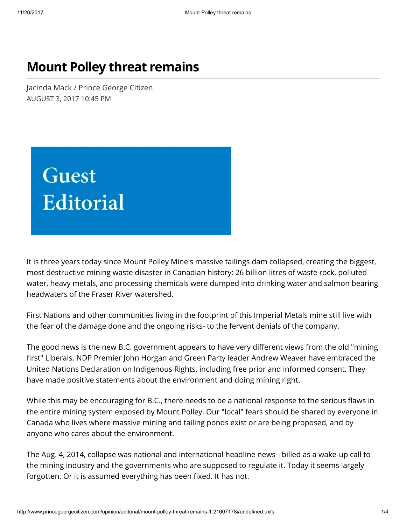## Mount Polley threat remains

Jacinda Mack / Prince George Citizen AUGUST 3, 2017 10:45 PM



It is three years today since Mount Polley Mine's massive tailings dam collapsed, creating the biggest, most destructive mining waste disaster in Canadian history: 26 billion litres of waste rock, polluted water, heavy metals, and processing chemicals were dumped into drinking water and salmon bearing headwaters of the Fraser River watershed.

First Nations and other communities living in the footprint of this Imperial Metals mine still live with the fear of the damage done and the ongoing risks- to the fervent denials of the company.

The good news is the new B.C. government appears to have very different views from the old "mining" first" Liberals. NDP Premier John Horgan and Green Party leader Andrew Weaver have embraced the United Nations Declaration on Indigenous Rights, including free prior and informed consent. They have made positive statements about the environment and doing mining right.

While this may be encouraging for B.C., there needs to be a national response to the serious flaws in the entire mining system exposed by Mount Polley. Our "local" fears should be shared by everyone in Canada who lives where massive mining and tailing ponds exist or are being proposed, and by anyone who cares about the environment.

The Aug. 4, 2014, collapse was national and international headline news - billed as a wake-up call to the mining industry and the governments who are supposed to regulate it. Today it seems largely forgotten. Or it is assumed everything has been fixed. It has not.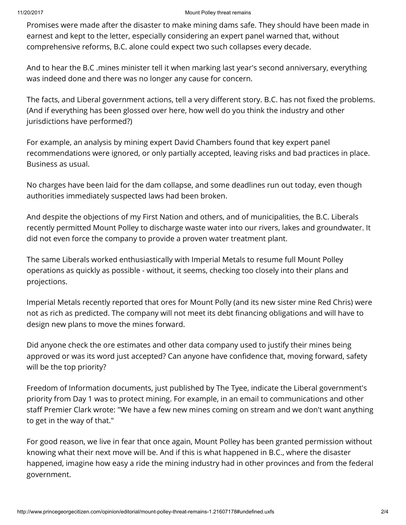## 11/20/2017 Mount Polley threat remains

Promises were made after the disaster to make mining dams safe. They should have been made in earnest and kept to the letter, especially considering an expert panel warned that, without comprehensive reforms, B.C. alone could expect two such collapses every decade.

And to hear the B.C .mines minister tell it when marking last year's second anniversary, everything was indeed done and there was no longer any cause for concern.

The facts, and Liberal government actions, tell a very different story. B.C. has not fixed the problems. (And if everything has been glossed over here, how well do you think the industry and other jurisdictions have performed?)

For example, an analysis by mining expert David Chambers found that key expert panel recommendations were ignored, or only partially accepted, leaving risks and bad practices in place. Business as usual.

No charges have been laid for the dam collapse, and some deadlines run out today, even though authorities immediately suspected laws had been broken.

And despite the objections of my First Nation and others, and of municipalities, the B.C. Liberals recently permitted Mount Polley to discharge waste water into our rivers, lakes and groundwater. It did not even force the company to provide a proven water treatment plant.

The same Liberals worked enthusiastically with Imperial Metals to resume full Mount Polley operations as quickly as possible - without, it seems, checking too closely into their plans and projections.

Imperial Metals recently reported that ores for Mount Polly (and its new sister mine Red Chris) were not as rich as predicted. The company will not meet its debt financing obligations and will have to design new plans to move the mines forward.

Did anyone check the ore estimates and other data company used to justify their mines being approved or was its word just accepted? Can anyone have confidence that, moving forward, safety will be the top priority?

Freedom of Information documents, just published by The Tyee, indicate the Liberal government's priority from Day 1 was to protect mining. For example, in an email to communications and other staff Premier Clark wrote: "We have a few new mines coming on stream and we don't want anything to get in the way of that."

For good reason, we live in fear that once again, Mount Polley has been granted permission without knowing what their next move will be. And if this is what happened in B.C., where the disaster happened, imagine how easy a ride the mining industry had in other provinces and from the federal government.